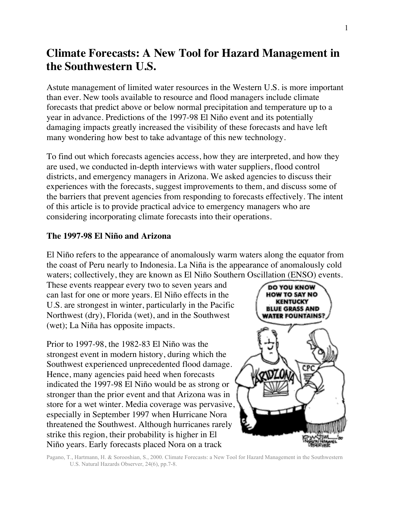# **Climate Forecasts: A New Tool for Hazard Management in the Southwestern U.S.**

Astute management of limited water resources in the Western U.S. is more important than ever. New tools available to resource and flood managers include climate forecasts that predict above or below normal precipitation and temperature up to a year in advance. Predictions of the 1997-98 El Niño event and its potentially damaging impacts greatly increased the visibility of these forecasts and have left many wondering how best to take advantage of this new technology.

To find out which forecasts agencies access, how they are interpreted, and how they are used, we conducted in-depth interviews with water suppliers, flood control districts, and emergency managers in Arizona. We asked agencies to discuss their experiences with the forecasts, suggest improvements to them, and discuss some of the barriers that prevent agencies from responding to forecasts effectively. The intent of this article is to provide practical advice to emergency managers who are considering incorporating climate forecasts into their operations.

# **The 1997-98 El Niño and Arizona**

El Niño refers to the appearance of anomalously warm waters along the equator from the coast of Peru nearly to Indonesia. La Niña is the appearance of anomalously cold waters; collectively, they are known as El Niño Southern Oscillation (ENSO) events.

These events reappear every two to seven years and can last for one or more years. El Niño effects in the U.S. are strongest in winter, particularly in the Pacific Northwest (dry), Florida (wet), and in the Southwest (wet); La Niña has opposite impacts.

Prior to 1997-98, the 1982-83 El Niño was the strongest event in modern history, during which the Southwest experienced unprecedented flood damage. Hence, many agencies paid heed when forecasts indicated the 1997-98 El Niño would be as strong or stronger than the prior event and that Arizona was in store for a wet winter. Media coverage was pervasive, especially in September 1997 when Hurricane Nora threatened the Southwest. Although hurricanes rarely strike this region, their probability is higher in El Niño years. Early forecasts placed Nora on a track



Pagano, T., Hartmann, H. & Sorooshian, S., 2000. Climate Forecasts: a New Tool for Hazard Management in the Southwestern U.S. Natural Hazards Observer, 24(6), pp.7-8.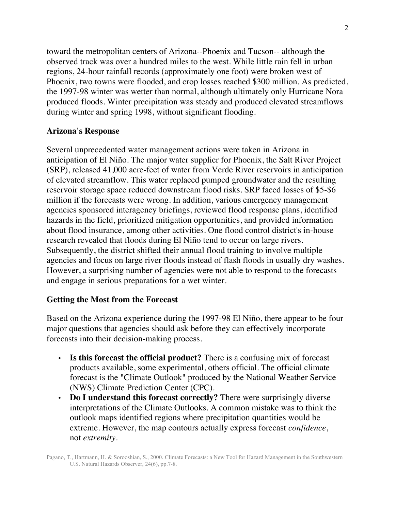toward the metropolitan centers of Arizona--Phoenix and Tucson-- although the observed track was over a hundred miles to the west. While little rain fell in urban regions, 24-hour rainfall records (approximately one foot) were broken west of Phoenix, two towns were flooded, and crop losses reached \$300 million. As predicted, the 1997-98 winter was wetter than normal, although ultimately only Hurricane Nora produced floods. Winter precipitation was steady and produced elevated streamflows during winter and spring 1998, without significant flooding.

## **Arizona's Response**

Several unprecedented water management actions were taken in Arizona in anticipation of El Niño. The major water supplier for Phoenix, the Salt River Project (SRP), released 41,000 acre-feet of water from Verde River reservoirs in anticipation of elevated streamflow. This water replaced pumped groundwater and the resulting reservoir storage space reduced downstream flood risks. SRP faced losses of \$5-\$6 million if the forecasts were wrong. In addition, various emergency management agencies sponsored interagency briefings, reviewed flood response plans, identified hazards in the field, prioritized mitigation opportunities, and provided information about flood insurance, among other activities. One flood control district's in-house research revealed that floods during El Niño tend to occur on large rivers. Subsequently, the district shifted their annual flood training to involve multiple agencies and focus on large river floods instead of flash floods in usually dry washes. However, a surprising number of agencies were not able to respond to the forecasts and engage in serious preparations for a wet winter.

#### **Getting the Most from the Forecast**

Based on the Arizona experience during the 1997-98 El Niño, there appear to be four major questions that agencies should ask before they can effectively incorporate forecasts into their decision-making process.

- **Is this forecast the official product?** There is a confusing mix of forecast products available, some experimental, others official. The official climate forecast is the "Climate Outlook" produced by the National Weather Service (NWS) Climate Prediction Center (CPC).
- **Do I understand this forecast correctly?** There were surprisingly diverse interpretations of the Climate Outlooks. A common mistake was to think the outlook maps identified regions where precipitation quantities would be extreme. However, the map contours actually express forecast *confidence*, not *extremity*.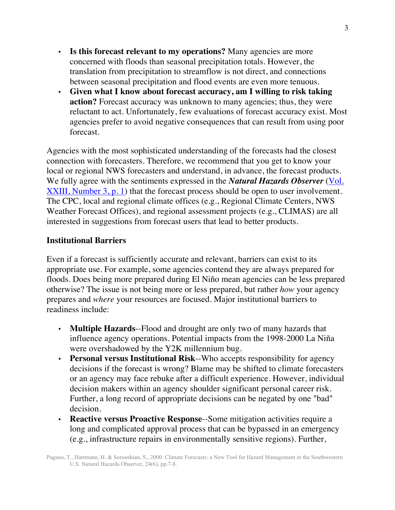- **Is this forecast relevant to my operations?** Many agencies are more concerned with floods than seasonal precipitation totals. However, the translation from precipitation to streamflow is not direct, and connections between seasonal precipitation and flood events are even more tenuous.
- **Given what I know about forecast accuracy, am I willing to risk taking action?** Forecast accuracy was unknown to many agencies; thus, they were reluctant to act. Unfortunately, few evaluations of forecast accuracy exist. Most agencies prefer to avoid negative consequences that can result from using poor forecast.

Agencies with the most sophisticated understanding of the forecasts had the closest connection with forecasters. Therefore, we recommend that you get to know your local or regional NWS forecasters and understand, in advance, the forecast products. We fully agree with the sentiments expressed in the *Natural Hazards Observer* (Vol. XXIII, Number 3, p. 1) that the forecast process should be open to user involvement. The CPC, local and regional climate offices (e.g., Regional Climate Centers, NWS Weather Forecast Offices), and regional assessment projects (e.g., CLIMAS) are all interested in suggestions from forecast users that lead to better products.

## **Institutional Barriers**

Even if a forecast is sufficiently accurate and relevant, barriers can exist to its appropriate use. For example, some agencies contend they are always prepared for floods. Does being more prepared during El Niño mean agencies can be less prepared otherwise? The issue is not being more or less prepared, but rather *how* your agency prepares and *where* your resources are focused. Major institutional barriers to readiness include:

- **Multiple Hazards**--Flood and drought are only two of many hazards that influence agency operations. Potential impacts from the 1998-2000 La Niña were overshadowed by the Y2K millennium bug.
- **Personal versus Institutional Risk**--Who accepts responsibility for agency decisions if the forecast is wrong? Blame may be shifted to climate forecasters or an agency may face rebuke after a difficult experience. However, individual decision makers within an agency shoulder significant personal career risk. Further, a long record of appropriate decisions can be negated by one "bad" decision.
- **Reactive versus Proactive Response**--Some mitigation activities require a long and complicated approval process that can be bypassed in an emergency (e.g., infrastructure repairs in environmentally sensitive regions). Further,